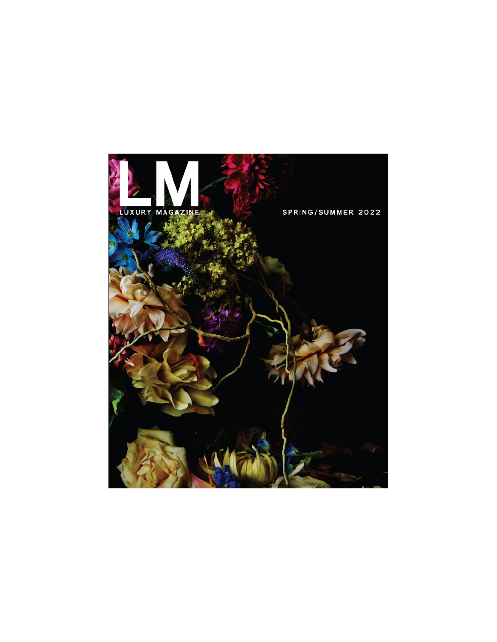## LUXURY MAGAZINE

 $\overline{\mathbf{A}}$ 

## SPRING/SUMMER 2022